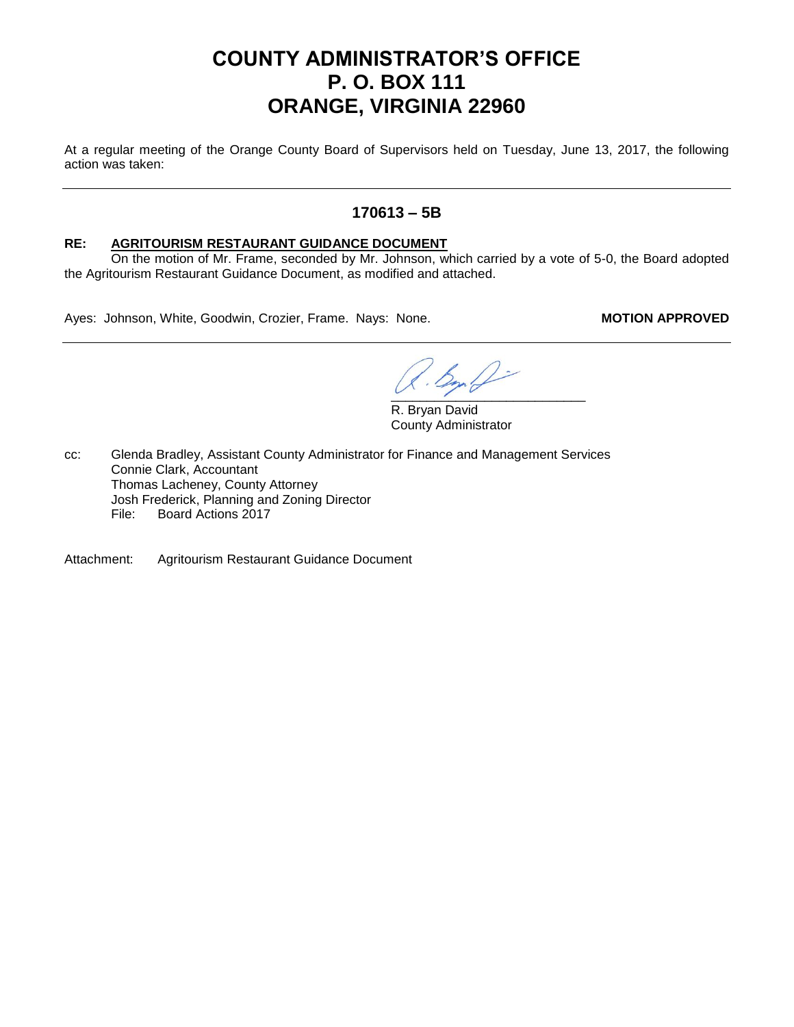## **COUNTY ADMINISTRATOR'S OFFICE P. O. BOX 111 ORANGE, VIRGINIA 22960**

At a regular meeting of the Orange County Board of Supervisors held on Tuesday, June 13, 2017, the following action was taken:

## **170613 – 5B**

## **RE: AGRITOURISM RESTAURANT GUIDANCE DOCUMENT**

On the motion of Mr. Frame, seconded by Mr. Johnson, which carried by a vote of 5-0, the Board adopted the Agritourism Restaurant Guidance Document, as modified and attached.

Ayes: Johnson, White, Goodwin, Crozier, Frame. Nays: None. **MOTION APPROVED** 

 $\frac{1}{2}$ 

R. Bryan David County Administrator

cc: Glenda Bradley, Assistant County Administrator for Finance and Management Services Connie Clark, Accountant Thomas Lacheney, County Attorney Josh Frederick, Planning and Zoning Director File: Board Actions 2017

Attachment: Agritourism Restaurant Guidance Document